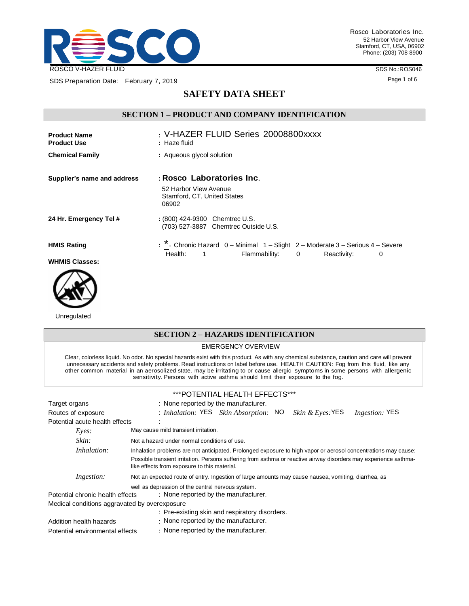

SDS Preparation Date: February 7, 2019

Rosco Laboratories Inc. 52 Harbor View Avenue Stamford, CT, USA, 06902 Phone: (203) 708 8900

SDS No.:ROS046

Page 1 of 6

# **SAFETY DATA SHEET**

# **SECTION 1 – PRODUCT AND COMPANY IDENTIFICATION**

| <b>Product Name</b><br><b>Product Use</b> | : V-HAZER FLUID Series 20008800xxxx<br>: Haze fluid                                        |
|-------------------------------------------|--------------------------------------------------------------------------------------------|
| <b>Chemical Family</b>                    | : Aqueous glycol solution                                                                  |
| Supplier's name and address               | : Rosco Laboratories Inc.<br>52 Harbor View Avenue<br>Stamford, CT, United States<br>06902 |
| 24 Hr. Emergency Tel #                    | : (800) 424-9300 Chemtrec U.S.<br>(703) 527-3887 Chemtrec Outside U.S.                     |
| <b>HMIS Rating</b>                        | : * - Chronic Hazard 0 - Minimal 1 - Slight 2 - Moderate 3 - Serious 4 - Severe            |
| <b>WHMIS Classes:</b>                     | Flammability: 0<br>Health:<br>$\sim$ 1<br>Reactivity:<br>0                                 |



Unregulated

# **SECTION 2 – HAZARDS IDENTIFICATION** EMERGENCY OVERVIEW Clear, colorless liquid. No odor. No special hazards exist with this product. As with any chemical substance, caution and care will prevent unnecessary accidents and safety problems. Read instructions on label before use. HEALTH CAUTION: Fog from this fluid, like any other common material in an aerosolized state, may be irritating to or cause allergic symptoms in some persons with allergenic sensitivity. Persons with active asthma should limit their exposure to the fog. \*\*\*POTENTIAL HEALTH EFFECTS\*\*\* Target organs **in the manufacturer.** : None reported by the manufacturer. Routes of exposure : *Inhalation:* YES *Skin Absorption:* NO *Skin & Eyes:*YES *Ingestion:* YES Potential acute health effects : *Eyes:* May cause mild transient irritation. *Skin:* Not a hazard under normal conditions of use. *Inhalation:* Inhalation problems are not anticipated. Prolonged exposure to high vapor or aerosol concentrations may cause: Possible transient irritation. Persons suffering from asthma or reactive airway disorders may experience asthmalike effects from exposure to this material. *Ingestion:* Not an expected route of entry. Ingestion of large amounts may cause nausea, vomiting, diarrhea, as well as depression of the central nervous system. Potential chronic health effects : None reported by the manufacturer. Medical conditions aggravated by overexposure : Pre-existing skin and respiratory disorders. Addition health hazards : None reported by the manufacturer. Potential environmental effects : None reported by the manufacturer.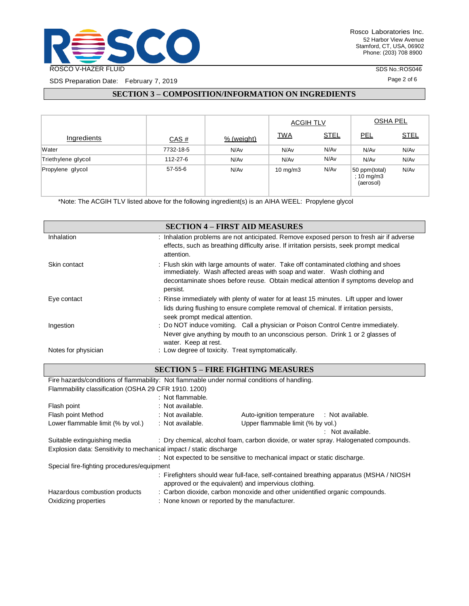

SDS Preparation Date: February 7, 2019

SDS No.:ROS046

Page 2 of 6

# **SECTION 3 – COMPOSITION/INFORMATION ON INGREDIENTS**

|                    |           |            | <b>ACGIH TLV</b>  |             | <b>OSHA PEL</b>                          |             |
|--------------------|-----------|------------|-------------------|-------------|------------------------------------------|-------------|
| Ingredients        | CAS#      | % (weight) | <u>TWA</u>        | <b>STEL</b> | <u>PEL</u>                               | <u>STEL</u> |
| Water              | 7732-18-5 | N/Av       | N/Av              | N/Av        | N/Av                                     | N/Av        |
| Triethylene glycol | 112-27-6  | N/Av       | N/Av              | N/Av        | N/Av                                     | N/Av        |
| Propylene glycol   | 57-55-6   | N/Av       | $10 \text{ mg/m}$ | N/Av        | 50 ppm(total)<br>; 10 mg/m3<br>(aerosol) | N/Av        |

\*Note: The ACGIH TLV listed above for the following ingredient(s) is an AIHA WEEL: Propylene glycol

|                     | <b>SECTION 4 - FIRST AID MEASURES</b>                                                                                                                                                |
|---------------------|--------------------------------------------------------------------------------------------------------------------------------------------------------------------------------------|
| Inhalation          | : Inhalation problems are not anticipated. Remove exposed person to fresh air if adverse<br>effects, such as breathing difficulty arise. If irritation persists, seek prompt medical |
|                     | attention.                                                                                                                                                                           |
| Skin contact        | : Flush skin with large amounts of water. Take off contaminated clothing and shoes<br>immediately. Wash affected areas with soap and water. Wash clothing and                        |
|                     | decontaminate shoes before reuse. Obtain medical attention if symptoms develop and<br>persist.                                                                                       |
| Eye contact         | : Rinse immediately with plenty of water for at least 15 minutes. Lift upper and lower                                                                                               |
|                     | lids during flushing to ensure complete removal of chemical. If irritation persists,<br>seek prompt medical attention.                                                               |
| Ingestion           | : Do NOT induce vomiting. Call a physician or Poison Control Centre immediately.                                                                                                     |
|                     | Never give anything by mouth to an unconscious person. Drink 1 or 2 glasses of<br>water. Keep at rest.                                                                               |
| Notes for physician | : Low degree of toxicity. Treat symptomatically.                                                                                                                                     |

## **SECTION 5 – FIRE FIGHTING MEASURES**

| Fire hazards/conditions of flammability: Not flammable under normal conditions of handling. |                                                                                                                                                |                                                                             |                             |  |
|---------------------------------------------------------------------------------------------|------------------------------------------------------------------------------------------------------------------------------------------------|-----------------------------------------------------------------------------|-----------------------------|--|
| Flammability classification (OSHA 29 CFR 1910, 1200)                                        |                                                                                                                                                |                                                                             |                             |  |
|                                                                                             | : Not flammable.                                                                                                                               |                                                                             |                             |  |
| Flash point                                                                                 | : Not available.                                                                                                                               |                                                                             |                             |  |
| Flash point Method                                                                          | : Not available.                                                                                                                               | Auto-ignition temperature                                                   | : Not available.            |  |
| Lower flammable limit (% by vol.)                                                           | : Not available.                                                                                                                               | Upper flammable limit (% by vol.)                                           |                             |  |
|                                                                                             |                                                                                                                                                |                                                                             | $\therefore$ Not available. |  |
| Suitable extinguishing media                                                                | : Dry chemical, alcohol foam, carbon dioxide, or water spray. Halogenated compounds.                                                           |                                                                             |                             |  |
| Explosion data: Sensitivity to mechanical impact / static discharge                         |                                                                                                                                                |                                                                             |                             |  |
|                                                                                             |                                                                                                                                                | : Not expected to be sensitive to mechanical impact or static discharge.    |                             |  |
| Special fire-fighting procedures/equipment                                                  |                                                                                                                                                |                                                                             |                             |  |
|                                                                                             | : Firefighters should wear full-face, self-contained breathing apparatus (MSHA / NIOSH<br>approved or the equivalent) and impervious clothing. |                                                                             |                             |  |
| Hazardous combustion products                                                               |                                                                                                                                                | : Carbon dioxide, carbon monoxide and other unidentified organic compounds. |                             |  |
| Oxidizing properties                                                                        | : None known or reported by the manufacturer.                                                                                                  |                                                                             |                             |  |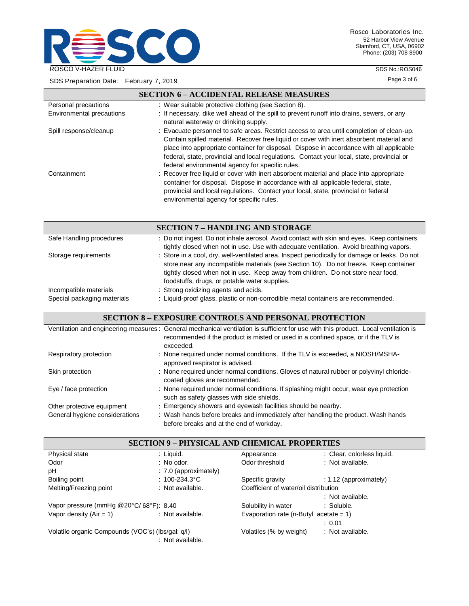

Rosco Laboratories Inc. 52 Harbor View Avenue Stamford, CT, USA, 06902 Phone: (203) 708 8900

SDS No.:ROS046

SDS Preparation Date: February 7, 2019

Page 3 of 6

|                           | <b>SECTION 6 - ACCIDENTAL RELEASE MEASURES</b>                                                                                                                                                                                                                                                                                                                                                                                      |
|---------------------------|-------------------------------------------------------------------------------------------------------------------------------------------------------------------------------------------------------------------------------------------------------------------------------------------------------------------------------------------------------------------------------------------------------------------------------------|
| Personal precautions      | : Wear suitable protective clothing (see Section 8).                                                                                                                                                                                                                                                                                                                                                                                |
| Environmental precautions | : If necessary, dike well ahead of the spill to prevent runoff into drains, sewers, or any<br>natural waterway or drinking supply.                                                                                                                                                                                                                                                                                                  |
| Spill response/cleanup    | : Evacuate personnel to safe areas. Restrict access to area until completion of clean-up.<br>Contain spilled material. Recover free liquid or cover with inert absorbent material and<br>place into appropriate container for disposal. Dispose in accordance with all applicable<br>federal, state, provincial and local regulations. Contact your local, state, provincial or<br>federal environmental agency for specific rules. |
| Containment               | : Recover free liquid or cover with inert absorbent material and place into appropriate<br>container for disposal. Dispose in accordance with all applicable federal, state,<br>provincial and local regulations. Contact your local, state, provincial or federal<br>environmental agency for specific rules.                                                                                                                      |

|                                                       | <b>SECTION 7 - HANDLING AND STORAGE</b>                                                                                                                                                                                                                                                                                      |
|-------------------------------------------------------|------------------------------------------------------------------------------------------------------------------------------------------------------------------------------------------------------------------------------------------------------------------------------------------------------------------------------|
| Safe Handling procedures                              | : Do not ingest. Do not inhale aerosol. Avoid contact with skin and eyes. Keep containers<br>tightly closed when not in use. Use with adequate ventilation. Avoid breathing vapors.                                                                                                                                          |
| Storage requirements                                  | : Store in a cool, dry, well-ventilated area. Inspect periodically for damage or leaks. Do not<br>store near any incompatible materials (see Section 10). Do not freeze. Keep container<br>tightly closed when not in use. Keep away from children. Do not store near food,<br>foodstuffs, drugs, or potable water supplies. |
| Incompatible materials<br>Special packaging materials | : Strong oxidizing agents and acids.<br>: Liquid-proof glass, plastic or non-corrodible metal containers are recommended.                                                                                                                                                                                                    |

## **SECTION 8 – EXPOSURE CONTROLS AND PERSONAL PROTECTION**

|                                | Ventilation and engineering measures: General mechanical ventilation is sufficient for use with this product. Local ventilation is<br>recommended if the product is misted or used in a confined space, or if the TLV is<br>exceeded. |
|--------------------------------|---------------------------------------------------------------------------------------------------------------------------------------------------------------------------------------------------------------------------------------|
| Respiratory protection         | : None required under normal conditions. If the TLV is exceeded, a NIOSH/MSHA-<br>approved respirator is advised.                                                                                                                     |
| Skin protection                | : None required under normal conditions. Gloves of natural rubber or polyvinyl chloride-<br>coated gloves are recommended.                                                                                                            |
| Eye / face protection          | : None required under normal conditions. If splashing might occur, wear eye protection<br>such as safety glasses with side shields.                                                                                                   |
| Other protective equipment     | : Emergency showers and eyewash facilities should be nearby.                                                                                                                                                                          |
| General hygiene considerations | : Wash hands before breaks and immediately after handling the product. Wash hands<br>before breaks and at the end of workday.                                                                                                         |

| <b>SECTION 9 - PHYSICAL AND CHEMICAL PROPERTIES</b> |                         |                                        |                            |
|-----------------------------------------------------|-------------------------|----------------------------------------|----------------------------|
| Physical state                                      | : Liquid.               | Appearance                             | : Clear, colorless liquid. |
| Odor                                                | $\therefore$ No odor.   | Odor threshold                         | : Not available.           |
| рH                                                  | $: 7.0$ (approximately) |                                        |                            |
| Boiling point                                       | : $100 - 234.3$ °C      | Specific gravity                       | $: 1.12$ (approximately)   |
| Melting/Freezing point                              | : Not available.        | Coefficient of water/oil distribution  |                            |
|                                                     |                         |                                        | : Not available.           |
| Vapor pressure (mmHg @20°C/68°F): 8.40              |                         | Solubility in water                    | : Soluble.                 |
| Vapor density $(Air = 1)$                           | : Not available.        | Evaporation rate (n-Butyl acetate = 1) |                            |
|                                                     |                         |                                        | : 0.01                     |
| Volatile organic Compounds (VOC's) (lbs/gal. q/l)   | : Not available.        | Volatiles (% by weight)                | : Not available.           |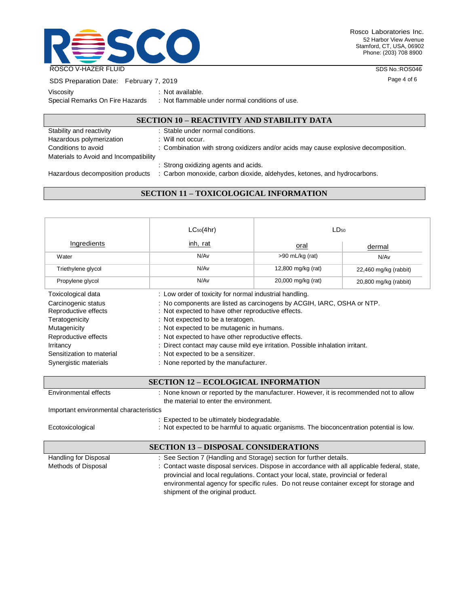

Rosco Laboratories Inc. 52 Harbor View Avenue Stamford, CT, USA, 06902 Phone: (203) 708 8900

SDS No.:ROS046

Page 4 of 6

| SDS Preparation Date: February 7, 2019 |  |
|----------------------------------------|--|

| Viscosity                       |  |
|---------------------------------|--|
|                                 |  |
| Spocial Pomarke On Eiro Hazarde |  |

Not available. Special Remarks On Fire Hazards : Not flammable under normal conditions of use.

## **SECTION 10 – REACTIVITY AND STABILITY DATA**

| Stability and reactivity               | : Stable under normal conditions.                                                   |
|----------------------------------------|-------------------------------------------------------------------------------------|
| Hazardous polymerization               | $:$ Will not occur.                                                                 |
| Conditions to avoid                    | : Combination with strong oxidizers and/or acids may cause explosive decomposition. |
| Materials to Avoid and Incompatibility |                                                                                     |
|                                        | : Strong oxidizing agents and acids.                                                |
| Hazardous decomposition products       | : Carbon monoxide, carbon dioxide, aldehydes, ketones, and hydrocarbons.            |

# **SECTION 11 – TOXICOLOGICAL INFORMATION**

|                                                                                                                                                                          | $LC_{50}(4hr)$                                                                                                                                                                                                                                                                                                                                                                                                                      | LD <sub>50</sub>   |                       |  |
|--------------------------------------------------------------------------------------------------------------------------------------------------------------------------|-------------------------------------------------------------------------------------------------------------------------------------------------------------------------------------------------------------------------------------------------------------------------------------------------------------------------------------------------------------------------------------------------------------------------------------|--------------------|-----------------------|--|
| Ingredients                                                                                                                                                              | inh, rat                                                                                                                                                                                                                                                                                                                                                                                                                            | oral               | dermal                |  |
| Water                                                                                                                                                                    | N/Av                                                                                                                                                                                                                                                                                                                                                                                                                                | $>90$ mL/kg (rat)  | N/Av                  |  |
| Triethylene glycol                                                                                                                                                       | N/Av                                                                                                                                                                                                                                                                                                                                                                                                                                | 12,800 mg/kg (rat) | 22,460 mg/kg (rabbit) |  |
| Propylene glycol                                                                                                                                                         | N/Av                                                                                                                                                                                                                                                                                                                                                                                                                                | 20,000 mg/kg (rat) | 20,800 mg/kg (rabbit) |  |
| Toxicological data                                                                                                                                                       | : Low order of toxicity for normal industrial handling.                                                                                                                                                                                                                                                                                                                                                                             |                    |                       |  |
| Carcinogenic status<br>Reproductive effects<br>Teratogenicity<br>Mutagenicity<br>Reproductive effects<br>Irritancy<br>Sensitization to material<br>Synergistic materials | : No components are listed as carcinogens by ACGIH, IARC, OSHA or NTP.<br>: Not expected to have other reproductive effects.<br>: Not expected to be a teratogen.<br>: Not expected to be mutagenic in humans.<br>: Not expected to have other reproductive effects.<br>: Direct contact may cause mild eye irritation. Possible inhalation irritant.<br>: Not expected to be a sensitizer.<br>: None reported by the manufacturer. |                    |                       |  |

## **SECTION 12 – ECOLOGICAL INFORMATION**

| Environmental effects                       | : None known or reported by the manufacturer. However, it is recommended not to allow<br>the material to enter the environment.         |  |  |  |
|---------------------------------------------|-----------------------------------------------------------------------------------------------------------------------------------------|--|--|--|
| Important environmental characteristics     |                                                                                                                                         |  |  |  |
| Ecotoxicological                            | : Expected to be ultimately biodegradable.<br>: Not expected to be harmful to aquatic organisms. The bioconcentration potential is low. |  |  |  |
| <b>SECTION 13 – DISPOSAL CONSIDERATIONS</b> |                                                                                                                                         |  |  |  |
|                                             |                                                                                                                                         |  |  |  |
| Handling for Disposal                       | : See Section 7 (Handling and Storage) section for further details.                                                                     |  |  |  |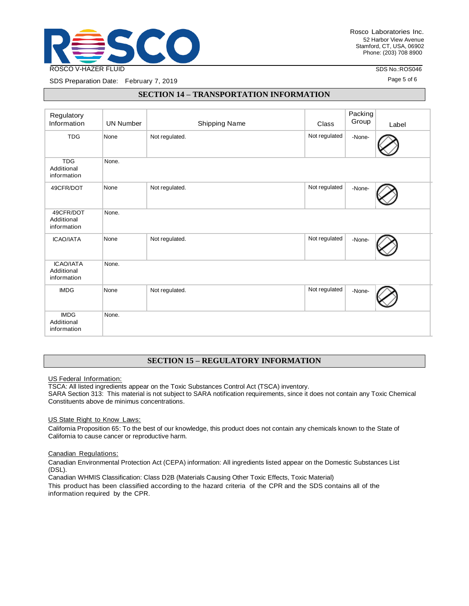

SDS No.:ROS046 Page 5 of 6

SDS Preparation Date: February 7, 2019

## **SECTION 14 – TRANSPORTATION INFORMATION**

| Regulatory<br>Information                     | <b>UN Number</b> | <b>Shipping Name</b> | Class         | Packing<br>Group | Label |
|-----------------------------------------------|------------------|----------------------|---------------|------------------|-------|
| <b>TDG</b>                                    | None             | Not regulated.       | Not regulated | -None-           |       |
| <b>TDG</b><br>Additional<br>information       | None.            |                      |               |                  |       |
| 49CFR/DOT                                     | None             | Not regulated.       | Not regulated | -None-           |       |
| 49CFR/DOT<br>Additional<br>information        | None.            |                      |               |                  |       |
| <b>ICAO/IATA</b>                              | None             | Not regulated.       | Not regulated | -None-           |       |
| <b>ICAO/IATA</b><br>Additional<br>information | None.            |                      |               |                  |       |
| <b>IMDG</b>                                   | None             | Not regulated.       | Not regulated | -None-           |       |
| <b>IMDG</b><br>Additional<br>information      | None.            |                      |               |                  |       |

# **SECTION 15 – REGULATORY INFORMATION**

US Federal Information:

TSCA: All listed ingredients appear on the Toxic Substances Control Act (TSCA) inventory.

SARA Section 313: This material is not subject to SARA notification requirements, since it does not contain any Toxic Chemical Constituents above de minimus concentrations.

US State Right to Know Laws:

California Proposition 65: To the best of our knowledge, this product does not contain any chemicals known to the State of California to cause cancer or reproductive harm.

#### Canadian Regulations:

Canadian Environmental Protection Act (CEPA) information: All ingredients listed appear on the Domestic Substances List (DSL).

Canadian WHMIS Classification: Class D2B (Materials Causing Other Toxic Effects, Toxic Material)

This product has been classified according to the hazard criteria of the CPR and the SDS contains all of the information required by the CPR.